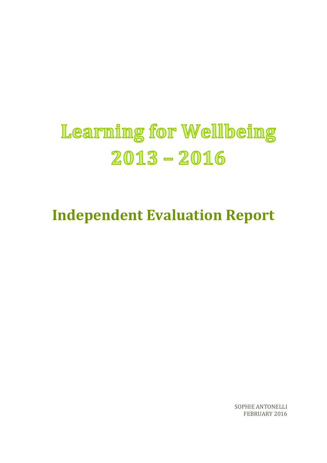# Learning for Wellbeing  $2013 - 2016$

**Independent Evaluation Report**

SOPHIE ANTONELLI FEBRUARY 2016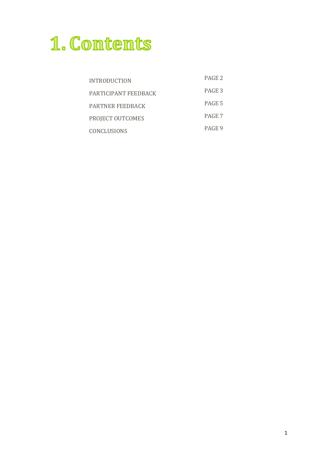# 1. Contents

| <b>INTRODUCTION</b>     | PAGE <sub>2</sub> |
|-------------------------|-------------------|
| PARTICIPANT FEEDBACK    | PAGE 3            |
| <b>PARTNER FEEDBACK</b> | PAGE 5            |
| PROJECT OUTCOMES        | PAGE 7            |
| <b>CONCLUSIONS</b>      | PAGE 9            |
|                         |                   |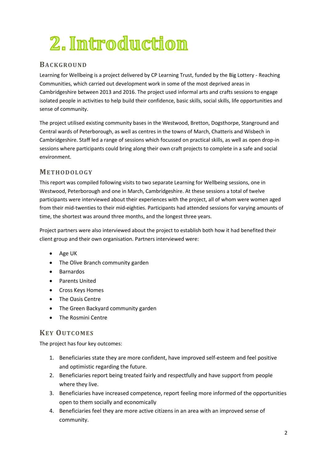# 2. Introduction

### **BAC K GROUND**

Learning for Wellbeing is a project delivered by CP Learning Trust, funded by the Big Lottery - Reaching Communities, which carried out development work in some of the most deprived areas in Cambridgeshire between 2013 and 2016. The project used informal arts and crafts sessions to engage isolated people in activities to help build their confidence, basic skills, social skills, life opportunities and sense of community.

The project utilised existing community bases in the Westwood, Bretton, Dogsthorpe, Stanground and Central wards of Peterborough, as well as centres in the towns of March, Chatteris and Wisbech in Cambridgeshire. Staff led a range of sessions which focussed on practical skills, as well as open drop-in sessions where participants could bring along their own craft projects to complete in a safe and social environment.

#### **MET HODOL OGY**

This report was compiled following visits to two separate Learning for Wellbeing sessions, one in Westwood, Peterborough and one in March, Cambridgeshire. At these sessions a total of twelve participants were interviewed about their experiences with the project, all of whom were women aged from their mid-twenties to their mid-eighties. Participants had attended sessions for varying amounts of time, the shortest was around three months, and the longest three years.

Project partners were also interviewed about the project to establish both how it had benefited their client group and their own organisation. Partners interviewed were:

- Age UK
- The Olive Branch community garden
- Barnardos
- Parents United
- Cross Keys Homes
- The Oasis Centre
- The Green Backyard community garden
- The Rosmini Centre

### **KEY OUTC OM ES**

The project has four key outcomes:

- 1. Beneficiaries state they are more confident, have improved self-esteem and feel positive and optimistic regarding the future.
- 2. Beneficiaries report being treated fairly and respectfully and have support from people where they live.
- 3. Beneficiaries have increased competence, report feeling more informed of the opportunities open to them socially and economically
- 4. Beneficiaries feel they are more active citizens in an area with an improved sense of community.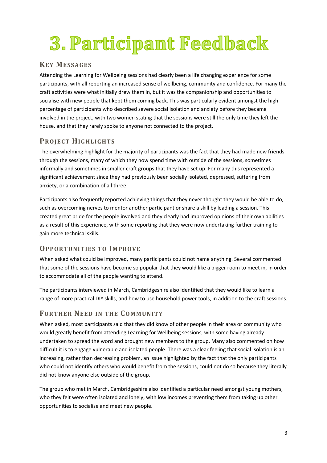# 3. Participant Feedback

## **KEY MESSAGES**

Attending the Learning for Wellbeing sessions had clearly been a life changing experience for some participants, with all reporting an increased sense of wellbeing, community and confidence. For many the craft activities were what initially drew them in, but it was the companionship and opportunities to socialise with new people that kept them coming back. This was particularly evident amongst the high percentage of participants who described severe social isolation and anxiety before they became involved in the project, with two women stating that the sessions were still the only time they left the house, and that they rarely spoke to anyone not connected to the project.

# **PROJECT HIGHL IGHT S**

The overwhelming highlight for the majority of participants was the fact that they had made new friends through the sessions, many of which they now spend time with outside of the sessions, sometimes informally and sometimes in smaller craft groups that they have set up. For many this represented a significant achievement since they had previously been socially isolated, depressed, suffering from anxiety, or a combination of all three.

Participants also frequently reported achieving things that they never thought they would be able to do, such as overcoming nerves to mentor another participant or share a skill by leading a session. This created great pride for the people involved and they clearly had improved opinions of their own abilities as a result of this experience, with some reporting that they were now undertaking further training to gain more technical skills.

### **OPPORT UNIT IES TO IM PROVE**

When asked what could be improved, many participants could not name anything. Several commented that some of the sessions have become so popular that they would like a bigger room to meet in, in order to accommodate all of the people wanting to attend.

The participants interviewed in March, Cambridgeshire also identified that they would like to learn a range of more practical DIY skills, and how to use household power tools, in addition to the craft sessions.

## **FURT HER NEED IN T HE COM M UNITY**

When asked, most participants said that they did know of other people in their area or community who would greatly benefit from attending Learning for Wellbeing sessions, with some having already undertaken to spread the word and brought new members to the group. Many also commented on how difficult it is to engage vulnerable and isolated people. There was a clear feeling that social isolation is an increasing, rather than decreasing problem, an issue highlighted by the fact that the only participants who could not identify others who would benefit from the sessions, could not do so because they literally did not know anyone else outside of the group.

The group who met in March, Cambridgeshire also identified a particular need amongst young mothers, who they felt were often isolated and lonely, with low incomes preventing them from taking up other opportunities to socialise and meet new people.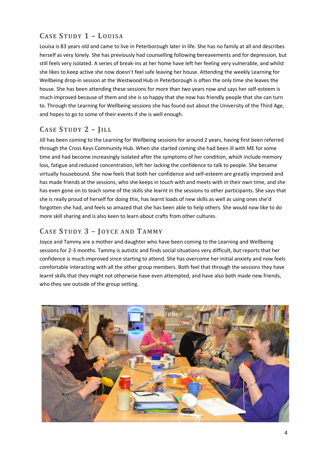# **CASE ST UDY 1 – LOUISA**

Louisa is 83 years old and came to live in Peterborough later in life. She has no family at all and describes herself as very lonely. She has previously had counselling following bereavements and for depression, but still feels very isolated. A series of break-ins at her home have left her feeling very vulnerable, and whilst she likes to keep active she now doesn't feel safe leaving her house. Attending the weekly Learning for Wellbeing drop-in session at the Westwood Hub in Peterborough is often the only time she leaves the house. She has been attending these sessions for more than two years now and says her self-esteem is much improved because of them and she is so happy that she now has friendly people that she can turn to. Through the Learning for Wellbeing sessions she has found out about the University of the Third Age, and hopes to go to some of their events if she is well enough.

# **CASE ST UDY 2 – JIL L**

Jill has been coming to the Learning for Wellbeing sessions for around 2 years, having first been referred through the Cross Keys Community Hub. When she started coming she had been ill with ME for some time and had become increasingly isolated after the symptoms of her condition, which include memory loss, fatigue and reduced concentration, left her lacking the confidence to talk to people. She became virtually housebound. She now feels that both her confidence and self-esteem are greatly improved and has made friends at the sessions, who she keeps in touch with and meets with in their own time, and she has even gone on to teach some of the skills she learnt in the sessions to other participants. She says that she is really proud of herself for doing this, has learnt loads of new skills as well as using ones she'd forgotten she had, and feels so amazed that she has been able to help others. She would now like to do more skill sharing and is also keen to learn about crafts from other cultures.

## **CASE ST UDY 3 – JOY C E AND TAMM Y**

Joyce and Tammy are a mother and daughter who have been coming to the Learning and Wellbeing sessions for 2-3 months. Tammy is autistic and finds social situations very difficult, but reports that her confidence is much improved since starting to attend. She has overcome her initial anxiety and now feels comfortable interacting with all the other group members. Both feel that through the sessions they have learnt skills that they might not otherwise have even attempted, and have also both made new friends, who they see outside of the group setting.

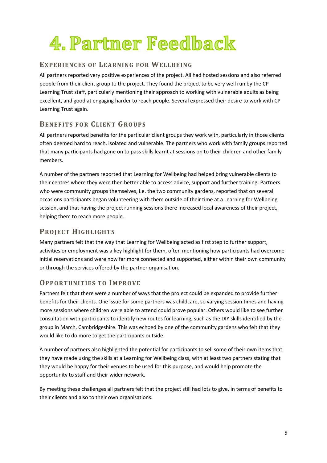# 4. Partner Feedback

### **EXPERIENC ES OF LEARNING F OR WELL BEING**

All partners reported very positive experiences of the project. All had hosted sessions and also referred people from their client group to the project. They found the project to be very well run by the CP Learning Trust staff, particularly mentioning their approach to working with vulnerable adults as being excellent, and good at engaging harder to reach people. Several expressed their desire to work with CP Learning Trust again.

## **BENEF IT S F OR CL IENT GROUPS**

All partners reported benefits for the particular client groups they work with, particularly in those clients often deemed hard to reach, isolated and vulnerable. The partners who work with family groups reported that many participants had gone on to pass skills learnt at sessions on to their children and other family members.

A number of the partners reported that Learning for Wellbeing had helped bring vulnerable clients to their centres where they were then better able to access advice, support and further training. Partners who were community groups themselves, i.e. the two community gardens, reported that on several occasions participants began volunteering with them outside of their time at a Learning for Wellbeing session, and that having the project running sessions there increased local awareness of their project, helping them to reach more people.

### **PROJECT HIGHL IGHT S**

Many partners felt that the way that Learning for Wellbeing acted as first step to further support, activities or employment was a key highlight for them, often mentioning how participants had overcome initial reservations and were now far more connected and supported, either within their own community or through the services offered by the partner organisation.

### **OPPORT UNIT IES TO IM PROVE**

Partners felt that there were a number of ways that the project could be expanded to provide further benefits for their clients. One issue for some partners was childcare, so varying session times and having more sessions where children were able to attend could prove popular. Others would like to see further consultation with participants to identify new routes for learning, such as the DIY skills identified by the group in March, Cambridgeshire. This was echoed by one of the community gardens who felt that they would like to do more to get the participants outside.

A number of partners also highlighted the potential for participants to sell some of their own items that they have made using the skills at a Learning for Wellbeing class, with at least two partners stating that they would be happy for their venues to be used for this purpose, and would help promote the opportunity to staff and their wider network.

By meeting these challenges all partners felt that the project still had lots to give, in terms of benefits to their clients and also to their own organisations.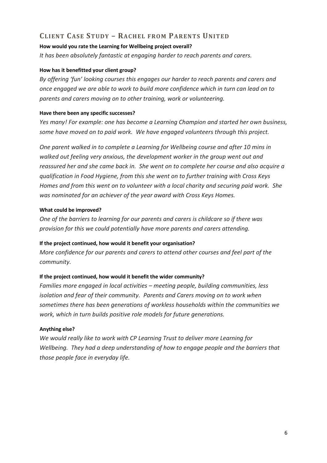# **CL IENT CASE ST UDY – RAC HEL F ROM PARENT S UNIT ED**

#### **How would you rate the Learning for Wellbeing project overall?**

*It has been absolutely fantastic at engaging harder to reach parents and carers.*

#### **How has it benefitted your client group?**

*By offering 'fun' looking courses this engages our harder to reach parents and carers and once engaged we are able to work to build more confidence which in turn can lead on to parents and carers moving on to other training, work or volunteering.*

#### **Have there been any specific successes?**

*Yes many! For example: one has become a Learning Champion and started her own business, some have moved on to paid work. We have engaged volunteers through this project.*

*One parent walked in to complete a Learning for Wellbeing course and after 10 mins in walked out feeling very anxious, the development worker in the group went out and reassured her and she came back in. She went on to complete her course and also acquire a qualification in Food Hygiene, from this she went on to further training with Cross Keys Homes and from this went on to volunteer with a local charity and securing paid work. She was nominated for an achiever of the year award with Cross Keys Homes.*

#### **What could be improved?**

*One of the barriers to learning for our parents and carers is childcare so if there was provision for this we could potentially have more parents and carers attending.*

#### **If the project continued, how would it benefit your organisation?**

*More confidence for our parents and carers to attend other courses and feel part of the community.*

#### **If the project continued, how would it benefit the wider community?**

*Families more engaged in local activities – meeting people, building communities, less isolation and fear of their community. Parents and Carers moving on to work when sometimes there has been generations of workless households within the communities we work, which in turn builds positive role models for future generations.*

#### **Anything else?**

*We would really like to work with CP Learning Trust to deliver more Learning for Wellbeing. They had a deep understanding of how to engage people and the barriers that those people face in everyday life.*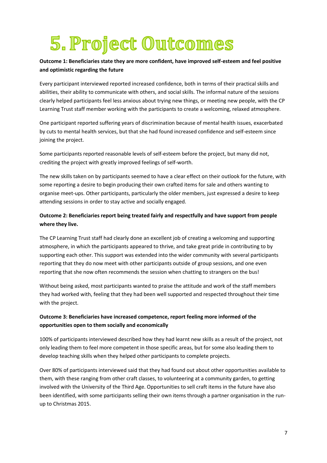# 5. Project Outcomes

#### **Outcome 1: Beneficiaries state they are more confident, have improved self-esteem and feel positive and optimistic regarding the future**

Every participant interviewed reported increased confidence, both in terms of their practical skills and abilities, their ability to communicate with others, and social skills. The informal nature of the sessions clearly helped participants feel less anxious about trying new things, or meeting new people, with the CP Learning Trust staff member working with the participants to create a welcoming, relaxed atmosphere.

One participant reported suffering years of discrimination because of mental health issues, exacerbated by cuts to mental health services, but that she had found increased confidence and self-esteem since joining the project.

Some participants reported reasonable levels of self-esteem before the project, but many did not, crediting the project with greatly improved feelings of self-worth.

The new skills taken on by participants seemed to have a clear effect on their outlook for the future, with some reporting a desire to begin producing their own crafted items for sale and others wanting to organise meet-ups. Other participants, particularly the older members, just expressed a desire to keep attending sessions in order to stay active and socially engaged.

#### **Outcome 2: Beneficiaries report being treated fairly and respectfully and have support from people where they live.**

The CP Learning Trust staff had clearly done an excellent job of creating a welcoming and supporting atmosphere, in which the participants appeared to thrive, and take great pride in contributing to by supporting each other. This support was extended into the wider community with several participants reporting that they do now meet with other participants outside of group sessions, and one even reporting that she now often recommends the session when chatting to strangers on the bus!

Without being asked, most participants wanted to praise the attitude and work of the staff members they had worked with, feeling that they had been well supported and respected throughout their time with the project.

#### **Outcome 3: Beneficiaries have increased competence, report feeling more informed of the opportunities open to them socially and economically**

100% of participants interviewed described how they had learnt new skills as a result of the project, not only leading them to feel more competent in those specific areas, but for some also leading them to develop teaching skills when they helped other participants to complete projects.

Over 80% of participants interviewed said that they had found out about other opportunities available to them, with these ranging from other craft classes, to volunteering at a community garden, to getting involved with the University of the Third Age. Opportunities to sell craft items in the future have also been identified, with some participants selling their own items through a partner organisation in the runup to Christmas 2015.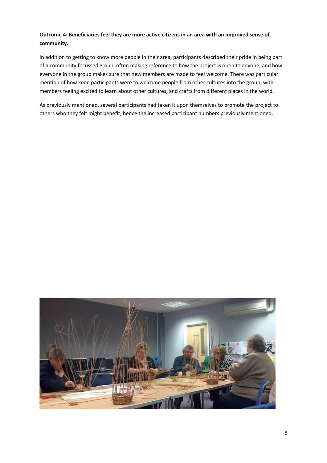#### **Outcome 4: Beneficiaries feel they are more active citizens in an area with an improved sense of community.**

In addition to getting to know more people in their area, participants described their pride in being part of a community focussed group, often making reference to how the project is open to anyone, and how everyone in the group makes sure that new members are made to feel welcome. There was particular mention of how keen participants were to welcome people from other cultures into the group, with members feeling excited to learn about other cultures, and crafts from different places in the world.

As previously mentioned, several participants had taken it upon themselves to promote the project to others who they felt might benefit, hence the increased participant numbers previously mentioned.